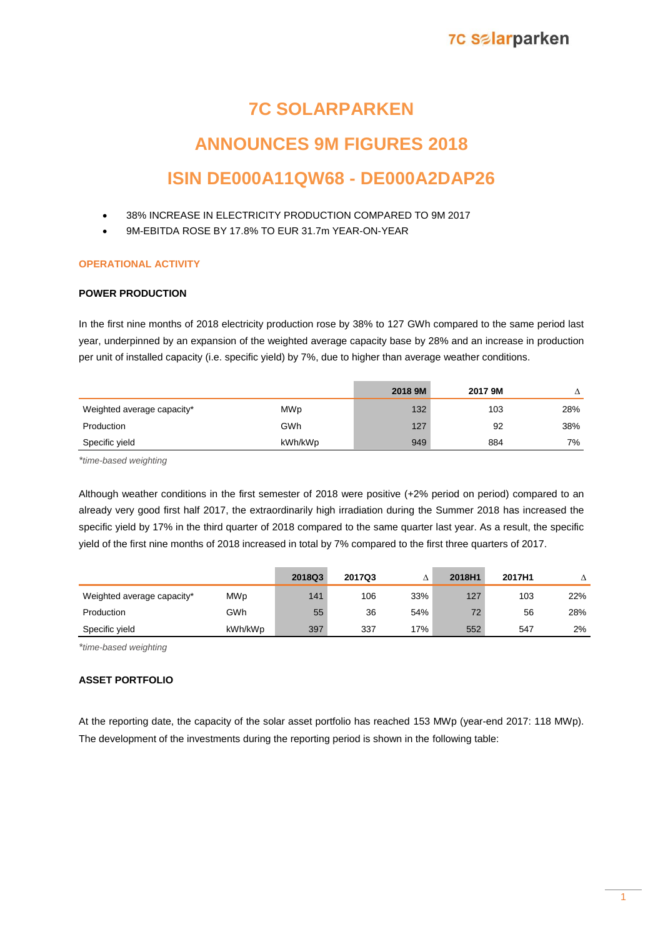## **7C Salarparken**

# **7C SOLARPARKEN**

# **ANNOUNCES 9M FIGURES 2018 ISIN DE000A11QW68 - DE000A2DAP26**

- 38% INCREASE IN ELECTRICITY PRODUCTION COMPARED TO 9M 2017
- 9M-EBITDA ROSE BY 17.8% TO EUR 31.7m YEAR-ON-YEAR

## **OPERATIONAL ACTIVITY**

### **POWER PRODUCTION**

In the first nine months of 2018 electricity production rose by 38% to 127 GWh compared to the same period last year, underpinned by an expansion of the weighted average capacity base by 28% and an increase in production per unit of installed capacity (i.e. specific yield) by 7%, due to higher than average weather conditions.

|                            |         | 2018 9M | 2017 9M |     |
|----------------------------|---------|---------|---------|-----|
| Weighted average capacity* | MWp     | 132     | 103     | 28% |
| Production                 | GWh     | 127     | 92      | 38% |
| Specific yield             | kWh/kWp | 949     | 884     | 7%  |

*\*time-based weighting*

Although weather conditions in the first semester of 2018 were positive (+2% period on period) compared to an already very good first half 2017, the extraordinarily high irradiation during the Summer 2018 has increased the specific yield by 17% in the third quarter of 2018 compared to the same quarter last year. As a result, the specific yield of the first nine months of 2018 increased in total by 7% compared to the first three quarters of 2017.

|                            |            | 2018Q3 | 2017Q3 |     | 2018H1 | 2017H1 |     |
|----------------------------|------------|--------|--------|-----|--------|--------|-----|
| Weighted average capacity* | <b>MWp</b> | 141    | 106    | 33% | 127    | 103    | 22% |
| Production                 | GWh        | 55     | 36     | 54% | 72     | 56     | 28% |
| Specific yield             | kWh/kWp    | 397    | 337    | 17% | 552    | 547    | 2%  |

*\*time-based weighting*

## **ASSET PORTFOLIO**

At the reporting date, the capacity of the solar asset portfolio has reached 153 MWp (year-end 2017: 118 MWp). The development of the investments during the reporting period is shown in the following table: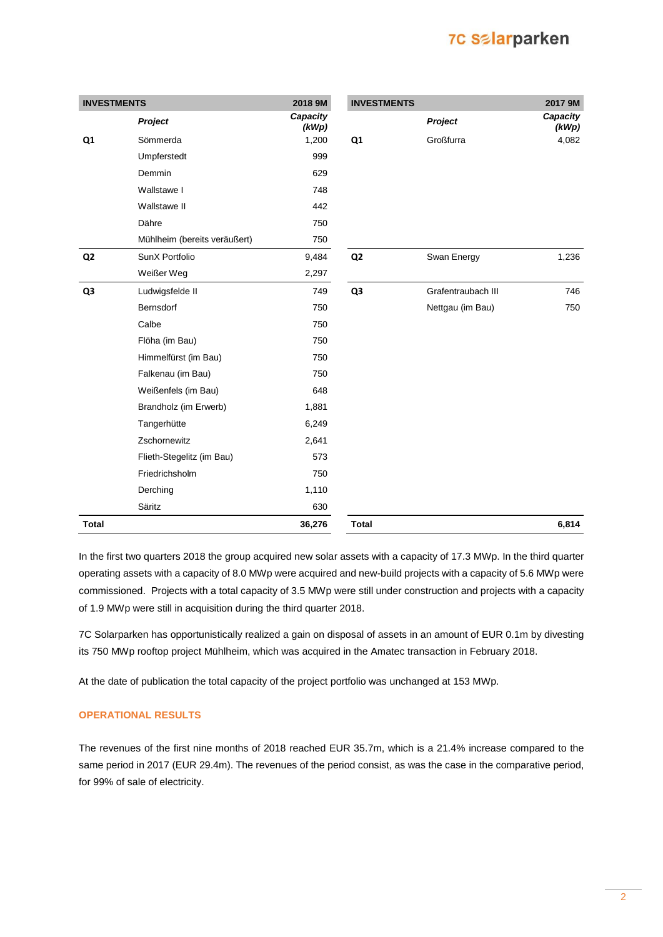# **7C Salarparken**

| <b>INVESTMENTS</b> |                              | 2018 9M           | <b>INVESTMENTS</b> |                    | 2017 9M           |
|--------------------|------------------------------|-------------------|--------------------|--------------------|-------------------|
|                    | Project                      | Capacity<br>(kWp) |                    | Project            | Capacity<br>(kWp) |
| Q1                 | Sömmerda                     | 1,200             | Q1                 | Großfurra          | 4,082             |
|                    | Umpferstedt                  | 999               |                    |                    |                   |
|                    | Demmin                       | 629               |                    |                    |                   |
|                    | Wallstawe I                  | 748               |                    |                    |                   |
|                    | Wallstawe II                 | 442               |                    |                    |                   |
|                    | Dähre                        | 750               |                    |                    |                   |
|                    | Mühlheim (bereits veräußert) | 750               |                    |                    |                   |
| Q <sub>2</sub>     | SunX Portfolio               | 9,484             | Q <sub>2</sub>     | Swan Energy        | 1,236             |
|                    | Weißer Weg                   | 2,297             |                    |                    |                   |
| Q3                 | Ludwigsfelde II              | 749               | Q3                 | Grafentraubach III | 746               |
|                    | Bernsdorf                    | 750               |                    | Nettgau (im Bau)   | 750               |
|                    | Calbe                        | 750               |                    |                    |                   |
|                    | Flöha (im Bau)               | 750               |                    |                    |                   |
|                    | Himmelfürst (im Bau)         | 750               |                    |                    |                   |
|                    | Falkenau (im Bau)            | 750               |                    |                    |                   |
|                    | Weißenfels (im Bau)          | 648               |                    |                    |                   |
|                    | Brandholz (im Erwerb)        | 1,881             |                    |                    |                   |
|                    | Tangerhütte                  | 6,249             |                    |                    |                   |
|                    | Zschornewitz                 | 2,641             |                    |                    |                   |
|                    | Flieth-Stegelitz (im Bau)    | 573               |                    |                    |                   |
|                    | Friedrichsholm               | 750               |                    |                    |                   |
|                    | Derching                     | 1,110             |                    |                    |                   |
|                    | Säritz                       | 630               |                    |                    |                   |
| <b>Total</b>       |                              | 36,276            | <b>Total</b>       |                    | 6,814             |

In the first two quarters 2018 the group acquired new solar assets with a capacity of 17.3 MWp. In the third quarter operating assets with a capacity of 8.0 MWp were acquired and new-build projects with a capacity of 5.6 MWp were commissioned. Projects with a total capacity of 3.5 MWp were still under construction and projects with a capacity of 1.9 MWp were still in acquisition during the third quarter 2018.

7C Solarparken has opportunistically realized a gain on disposal of assets in an amount of EUR 0.1m by divesting its 750 MWp rooftop project Mühlheim, which was acquired in the Amatec transaction in February 2018.

At the date of publication the total capacity of the project portfolio was unchanged at 153 MWp.

#### **OPERATIONAL RESULTS**

The revenues of the first nine months of 2018 reached EUR 35.7m, which is a 21.4% increase compared to the same period in 2017 (EUR 29.4m). The revenues of the period consist, as was the case in the comparative period, for 99% of sale of electricity.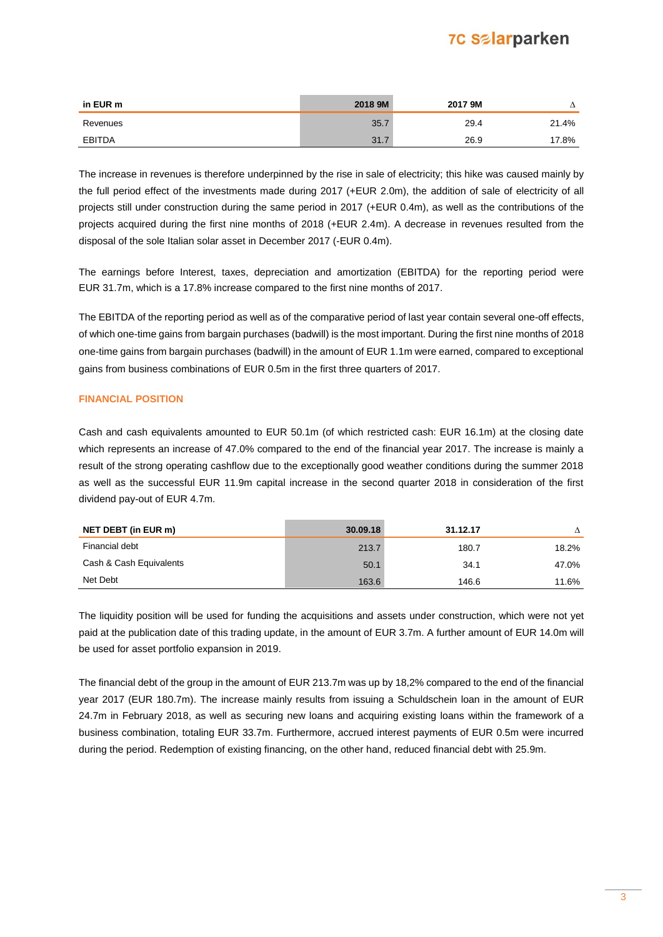# **7C Salarparken**

| in EUR m      | 2018 9M | 2017 9M |       |
|---------------|---------|---------|-------|
| Revenues      | 35.     | 29.4    | 21.4% |
| <b>EBITDA</b> | 31.     | 26.9    | 17.8% |

The increase in revenues is therefore underpinned by the rise in sale of electricity; this hike was caused mainly by the full period effect of the investments made during 2017 (+EUR 2.0m), the addition of sale of electricity of all projects still under construction during the same period in 2017 (+EUR 0.4m), as well as the contributions of the projects acquired during the first nine months of 2018 (+EUR 2.4m). A decrease in revenues resulted from the disposal of the sole Italian solar asset in December 2017 (-EUR 0.4m).

The earnings before Interest, taxes, depreciation and amortization (EBITDA) for the reporting period were EUR 31.7m, which is a 17.8% increase compared to the first nine months of 2017.

The EBITDA of the reporting period as well as of the comparative period of last year contain several one-off effects, of which one-time gains from bargain purchases (badwill) is the most important. During the first nine months of 2018 one-time gains from bargain purchases (badwill) in the amount of EUR 1.1m were earned, compared to exceptional gains from business combinations of EUR 0.5m in the first three quarters of 2017.

#### **FINANCIAL POSITION**

Cash and cash equivalents amounted to EUR 50.1m (of which restricted cash: EUR 16.1m) at the closing date which represents an increase of 47.0% compared to the end of the financial year 2017. The increase is mainly a result of the strong operating cashflow due to the exceptionally good weather conditions during the summer 2018 as well as the successful EUR 11.9m capital increase in the second quarter 2018 in consideration of the first dividend pay-out of EUR 4.7m.

| <b>NET DEBT (in EUR m)</b> | 30.09.18 | 31.12.17 |       |
|----------------------------|----------|----------|-------|
| Financial debt             | 213.7    | 180.7    | 18.2% |
| Cash & Cash Equivalents    | 50.1     | 34.1     | 47.0% |
| Net Debt                   | 163.6    | 146.6    | 11.6% |

The liquidity position will be used for funding the acquisitions and assets under construction, which were not yet paid at the publication date of this trading update, in the amount of EUR 3.7m. A further amount of EUR 14.0m will be used for asset portfolio expansion in 2019.

The financial debt of the group in the amount of EUR 213.7m was up by 18,2% compared to the end of the financial year 2017 (EUR 180.7m). The increase mainly results from issuing a Schuldschein loan in the amount of EUR 24.7m in February 2018, as well as securing new loans and acquiring existing loans within the framework of a business combination, totaling EUR 33.7m. Furthermore, accrued interest payments of EUR 0.5m were incurred during the period. Redemption of existing financing, on the other hand, reduced financial debt with 25.9m.